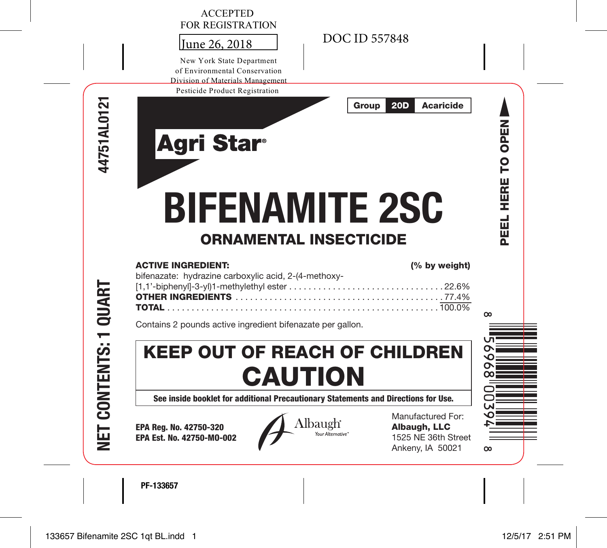#### ACCEPTED FOR REGISTRATION

## Tune 26, 2018 DOC ID 557848

New York State Department of Environmental Conservation Division of Materials Management

Pesticide Product Registration

**Agri Star®** 

Group 20D Acaricide

**NET CONTENTS: 1 QUART**

**VET CONTENTS: 1 QUART** 

# **BIFENAMITE 2SC**

### ORNAMENTAL INSECTICIDE

#### ACTIVE INGREDIENT: (% by weight)

PEEL HERE TO OPEN

PEEL HERE TO OPEN

 $\circ$ ۰o  $\circ$ Ōo ⊂ Ċ **S** S

 $\infty$ 

| bifenazate: hydrazine carboxylic acid, 2-(4-methoxy- |          |
|------------------------------------------------------|----------|
| $[1,1'-biphenyl]-3-y$ ]1-methylethyl ester 22.6%     |          |
|                                                      |          |
|                                                      |          |
|                                                      | $\infty$ |

Contains 2 pounds active ingredient bifenazate per gallon.

## KEEP OUT OF REACH OF CHILDREN **CAUTION**

See inside booklet for additional Precautionary Statements and Directions for Use.

EPA Reg. No. 42750-320 EPA Est. No. 42750-MO-002

Albaugh **Your Alternative** 

Manufactured For: Albaugh, LLC 1525 NE 36th Street Ankeny, IA 50021

**PF-133657**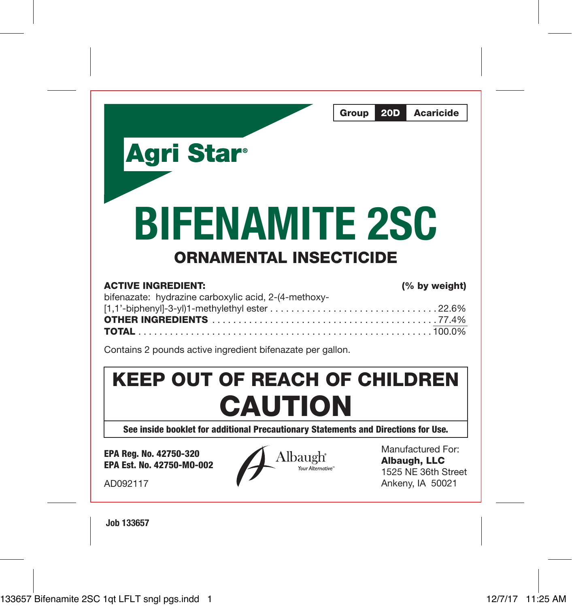| Acaricide<br><b>BIFENAMITE 2SC</b><br>(% by weight)                                                                                   |
|---------------------------------------------------------------------------------------------------------------------------------------|
|                                                                                                                                       |
|                                                                                                                                       |
|                                                                                                                                       |
|                                                                                                                                       |
|                                                                                                                                       |
|                                                                                                                                       |
|                                                                                                                                       |
|                                                                                                                                       |
| $[1,1'-bigh$ biphenyll-3-yl)1-methylethyl ester $\ldots \ldots \ldots \ldots \ldots \ldots \ldots \ldots \ldots \ldots \ldots \ldots$ |
|                                                                                                                                       |
|                                                                                                                                       |
| <b>KEEP OUT OF REACH OF CHILDREN</b>                                                                                                  |
|                                                                                                                                       |
|                                                                                                                                       |
| See inside booklet for additional Precautionary Statements and Directions for Use.                                                    |
| Manufactured For:<br>Albaugh, LLC                                                                                                     |
|                                                                                                                                       |
|                                                                                                                                       |

**Job 133657 Job 133657**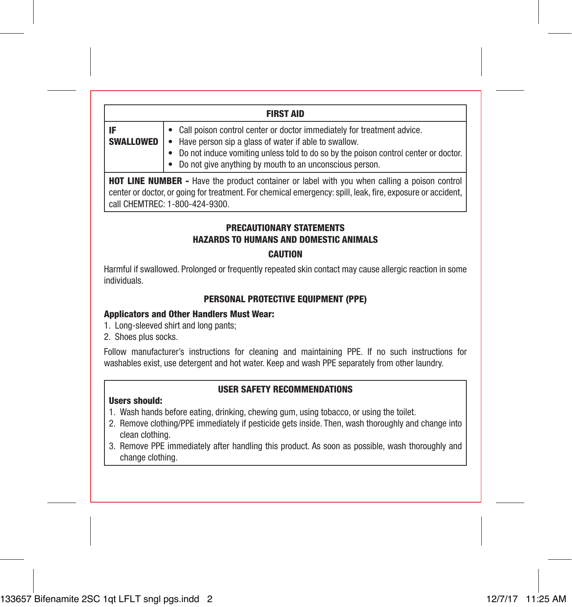|                                    | <b>FIRST AID</b>                                                                                                                                                                                                                                                                                    |  |  |  |
|------------------------------------|-----------------------------------------------------------------------------------------------------------------------------------------------------------------------------------------------------------------------------------------------------------------------------------------------------|--|--|--|
| IF<br><b>SWALLOWED</b>             | Call poison control center or doctor immediately for treatment advice.<br>$\bullet$<br>• Have person sip a glass of water if able to swallow.<br>• Do not induce vomiting unless told to do so by the poison control center or doctor.<br>• Do not give anything by mouth to an unconscious person. |  |  |  |
|                                    | <b>HOT LINE NUMBER</b> - Have the product container or label with you when calling a poison control<br>center or doctor, or going for treatment. For chemical emergency: spill, leak, fire, exposure or accident,<br>call CHEMTREC: 1-800-424-9300.                                                 |  |  |  |
|                                    | PRECAUTIONARY STATEMENTS<br><b>HAZARDS TO HUMANS AND DOMESTIC ANIMALS</b>                                                                                                                                                                                                                           |  |  |  |
|                                    | CALITION                                                                                                                                                                                                                                                                                            |  |  |  |
| alsubivibui                        | Harmful if swallowed. Prolonged or frequently repeated skin contact may cause allergic reaction in some                                                                                                                                                                                             |  |  |  |
|                                    | PERSONAL PROTECTIVE EQUIPMENT (PPE)                                                                                                                                                                                                                                                                 |  |  |  |
| 2. Shoes plus socks.               | <b>Applicators and Other Handlers Must Wear:</b><br>1. Long-sleeved shirt and long pants;                                                                                                                                                                                                           |  |  |  |
|                                    | Follow manufacturer's instructions for cleaning and maintaining PPE. If no such instructions for<br>washables exist, use detergent and hot water. Keep and wash PPE separately from other laundry.                                                                                                  |  |  |  |
| <b>USER SAFETY RECOMMENDATIONS</b> |                                                                                                                                                                                                                                                                                                     |  |  |  |
|                                    | <b>Ilsers should:</b>                                                                                                                                                                                                                                                                               |  |  |  |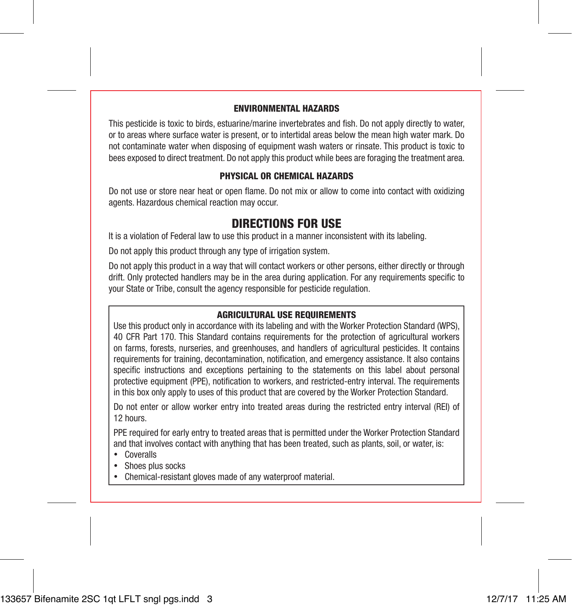#### ENVIRONMENTAL HAZARDS

This pesticide is toxic to birds, estuarine/marine invertebrates and fish. Do not apply directly to water, or to areas where surface water is present, or to intertidal areas below the mean high water mark. Do not contaminate water when disposing of equipment wash waters or rinsate. This product is toxic to bees exposed to direct treatment. Do not apply this product while bees are foraging the treatment area.

#### PHYSICAL OR CHEMICAL HAZARDS

Do not use or store near heat or open flame. Do not mix or allow to come into contact with oxidizing agents. Hazardous chemical reaction may occur.

#### DIRECTIONS FOR USE

It is a violation of Federal law to use this product in a manner inconsistent with its labeling.

Do not apply this product through any type of irrigation system.

Do not apply this product in a way that will contact workers or other persons, either directly or through drift. Only protected handlers may be in the area during application. For any requirements specific to your State or Tribe, consult the agency responsible for pesticide regulation.

#### AGRICULTURAL USE REQUIREMENTS

Use this product only in accordance with its labeling and with the Worker Protection Standard (WPS), 40 CFR Part 170. This Standard contains requirements for the protection of agricultural workers on farms, forests, nurseries, and greenhouses, and handlers of agricultural pesticides. It contains requirements for training, decontamination, notification, and emergency assistance. It also contains specific instructions and exceptions pertaining to the statements on this label about personal protective equipment (PPE), notification to workers, and restricted-entry interval. The requirements in this box only apply to uses of this product that are covered by the Worker Protection Standard.

Do not enter or allow worker entry into treated areas during the restricted entry interval (REI) of 12 hours.

PPE required for early entry to treated areas that is permitted under the Worker Protection Standard and that involves contact with anything that has been treated, such as plants, soil, or water, is:

- • Coveralls
- • Shoes plus socks
- • Chemical-resistant gloves made of any waterproof material.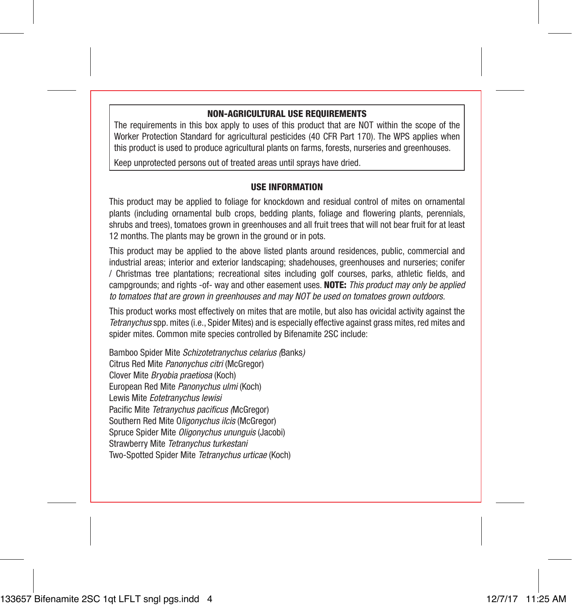#### NON-AGRICULTURAL USE REQUIREMENTS

The requirements in this box apply to uses of this product that are NOT within the scope of the Worker Protection Standard for agricultural pesticides (40 CFR Part 170). The WPS applies when this product is used to produce agricultural plants on farms, forests, nurseries and greenhouses.

Keep unprotected persons out of treated areas until sprays have dried.

#### USE INFORMATION

This product may be applied to foliage for knockdown and residual control of mites on ornamental plants (including ornamental bulb crops, bedding plants, foliage and flowering plants, perennials, shrubs and trees), tomatoes grown in greenhouses and all fruit trees that will not bear fruit for at least 12 months. The plants may be grown in the ground or in pots.

This product may be applied to the above listed plants around residences, public, commercial and industrial areas; interior and exterior landscaping; shadehouses, greenhouses and nurseries; conifer / Christmas tree plantations; recreational sites including golf courses, parks, athletic fields, and campgrounds; and rights -of- way and other easement uses. NOTE: *This product may only be applied to tomatoes that are grown in greenhouses and may NOT be used on tomatoes grown outdoors.*

This product works most effectively on mites that are motile, but also has ovicidal activity against the *Tetranychus* spp. mites (i.e., Spider Mites) and is especially effective against grass mites, red mites and spider mites. Common mite species controlled by Bifenamite 2SC include:

Bamboo Spider Mite *Schizotetranychus celarius (*Banks*)* Citrus Red Mite *Panonychus citri* (McGregor) Clover Mite *Bryobia praetiosa* (Koch) European Red Mite *Panonychus ulmi* (Koch) Lewis Mite *Eotetranychus lewisi* Pacific Mite *Tetranychus pacificus (*McGregor) Southern Red Mite O*ligonychus ilcis* (McGregor) Spruce Spider Mite *Oligonychus ununguis* (Jacobi) Strawberry Mite *Tetranychus turkestani* Two-Spotted Spider Mite *Tetranychus urticae* (Koch)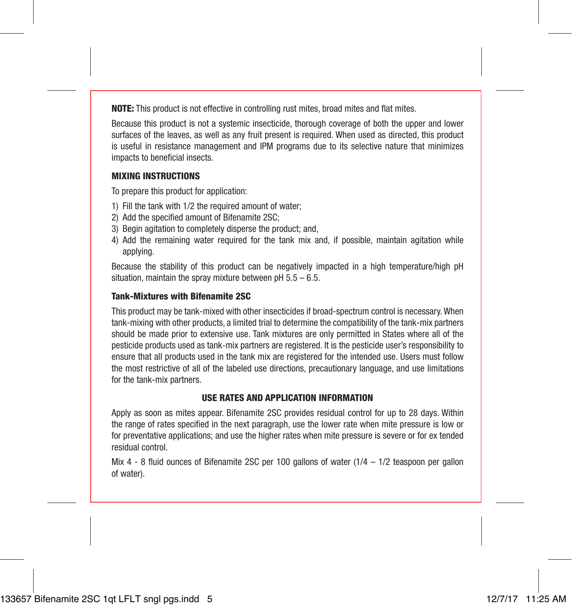NOTE: This product is not effective in controlling rust mites, broad mites and flat mites.

Because this product is not a systemic insecticide, thorough coverage of both the upper and lower surfaces of the leaves, as well as any fruit present is required. When used as directed, this product is useful in resistance management and IPM programs due to its selective nature that minimizes impacts to beneficial insects.

#### MIXING INSTRUCTIONS

To prepare this product for application:

- 1) Fill the tank with 1/2 the required amount of water;
- 2) Add the specified amount of Bifenamite 2SC;
- 3) Begin agitation to completely disperse the product; and,
- 4) Add the remaining water required for the tank mix and, if possible, maintain agitation while applying.

Because the stability of this product can be negatively impacted in a high temperature/high pH situation, maintain the spray mixture between pH 5.5 – 6.5.

#### Tank-Mixtures with Bifenamite 2SC

This product may be tank-mixed with other insecticides if broad-spectrum control is necessary. When tank-mixing with other products, a limited trial to determine the compatibility of the tank-mix partners should be made prior to extensive use. Tank mixtures are only permitted in States where all of the pesticide products used as tank-mix partners are registered. It is the pesticide user's responsibility to ensure that all products used in the tank mix are registered for the intended use. Users must follow the most restrictive of all of the labeled use directions, precautionary language, and use limitations for the tank-mix partners.

#### USE RATES AND APPLICATION INFORMATION

Apply as soon as mites appear. Bifenamite 2SC provides residual control for up to 28 days. Within the range of rates specified in the next paragraph, use the lower rate when mite pressure is low or for preventative applications; and use the higher rates when mite pressure is severe or for ex tended residual control.

Mix 4 - 8 fluid ounces of Bifenamite 2SC per 100 gallons of water  $(1/4 - 1/2)$  teaspoon per gallon of water).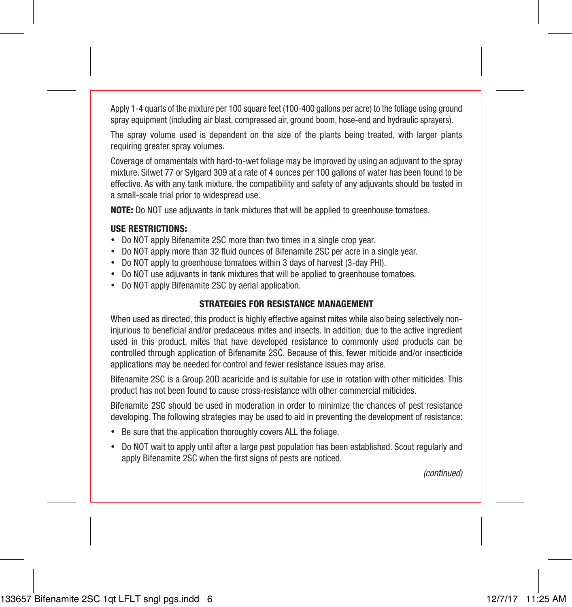Apply 1-4 quarts of the mixture per 100 square feet (100-400 gallons per acre) to the foliage using ground spray equipment (including air blast, compressed air, ground boom, hose-end and hydraulic sprayers).

The spray volume used is dependent on the size of the plants being treated, with larger plants requiring greater spray volumes.

Coverage of ornamentals with hard-to-wet foliage may be improved by using an adjuvant to the spray mixture. Silwet 77 or Sylgard 309 at a rate of 4 ounces per 100 gallons of water has been found to be effective. As with any tank mixture, the compatibility and safety of any adjuvants should be tested in a small-scale trial prior to widespread use.

NOTE: Do NOT use adjuvants in tank mixtures that will be applied to greenhouse tomatoes.

#### USE RESTRICTIONS:

- Do NOT apply Bifenamite 2SC more than two times in a single crop year.
- Do NOT apply more than 32 fluid ounces of Bifenamite 2SC per acre in a single year.
- • Do NOT apply to greenhouse tomatoes within 3 days of harvest (3-day PHI).
- Do NOT use adjuvants in tank mixtures that will be applied to greenhouse tomatoes.
- • Do NOT apply Bifenamite 2SC by aerial application.

#### STRATEGIES FOR RESISTANCE MANAGEMENT

When used as directed, this product is highly effective against mites while also being selectively noninjurious to beneficial and/or predaceous mites and insects. In addition, due to the active ingredient used in this product, mites that have developed resistance to commonly used products can be controlled through application of Bifenamite 2SC. Because of this, fewer miticide and/or insecticide applications may be needed for control and fewer resistance issues may arise.

Bifenamite 2SC is a Group 20D acaricide and is suitable for use in rotation with other miticides. This product has not been found to cause cross-resistance with other commercial miticides.

Bifenamite 2SC should be used in moderation in order to minimize the chances of pest resistance developing. The following strategies may be used to aid in preventing the development of resistance:

- Be sure that the application thoroughly covers ALL the foliage.
- • Do NOT wait to apply until after a large pest population has been established. Scout regularly and apply Bifenamite 2SC when the first signs of pests are noticed.

*(continued)*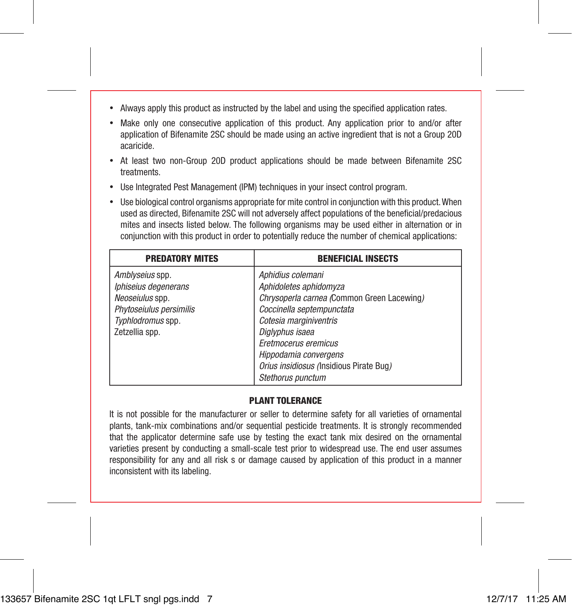- Always apply this product as instructed by the label and using the specified application rates.
- Make only one consecutive application of this product. Any application prior to and/or after application of Bifenamite 2SC should be made using an active ingredient that is not a Group 20D acaricide.
- At least two non-Group 20D product applications should be made between Bifenamite 2SC treatments.
- • Use Integrated Pest Management (IPM) techniques in your insect control program.
- • Use biological control organisms appropriate for mite control in conjunction with this product. When used as directed, Bifenamite 2SC will not adversely affect populations of the beneficial/predacious mites and insects listed below. The following organisms may be used either in alternation or in conjunction with this product in order to potentially reduce the number of chemical applications:

| <b>PREDATORY MITES</b>                                                                                                       | <b>BENEFICIAL INSECTS</b>                                                                                                                                                                                                                                                            |
|------------------------------------------------------------------------------------------------------------------------------|--------------------------------------------------------------------------------------------------------------------------------------------------------------------------------------------------------------------------------------------------------------------------------------|
| Amblyseius spp.<br>Iphiseius degenerans<br>Neoseiulus spp.<br>Phytoseiulus persimilis<br>Typhlodromus spp.<br>Zetzellia spp. | Aphidius colemani<br>Aphidoletes aphidomyza<br>Chrysoperla carnea (Common Green Lacewing)<br>Coccinella septempunctata<br>Cotesia marginiventris<br>Diglyphus isaea<br>Eretmocerus eremicus<br>Hippodamia convergens<br>Orius insidiosus (Insidious Pirate Bug)<br>Stethorus punctum |

#### PLANT TOLERANCE

It is not possible for the manufacturer or seller to determine safety for all varieties of ornamental plants, tank-mix combinations and/or sequential pesticide treatments. It is strongly recommended that the applicator determine safe use by testing the exact tank mix desired on the ornamental varieties present by conducting a small-scale test prior to widespread use. The end user assumes responsibility for any and all risk s or damage caused by application of this product in a manner inconsistent with its labeling.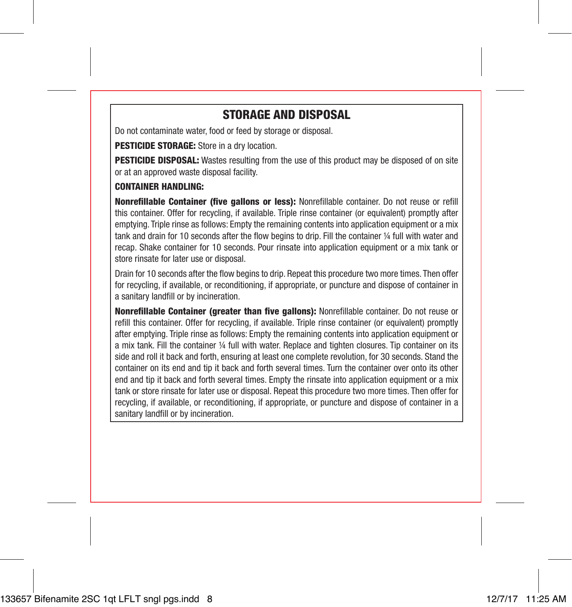#### STORAGE AND DISPOSAL

Do not contaminate water, food or feed by storage or disposal.

PESTICIDE STORAGE: Store in a dry location.

**PESTICIDE DISPOSAL:** Wastes resulting from the use of this product may be disposed of on site or at an approved waste disposal facility.

#### CONTAINER HANDLING:

Nonrefillable Container (five gallons or less): Nonrefillable container. Do not reuse or refill this container. Offer for recycling, if available. Triple rinse container (or equivalent) promptly after emptying. Triple rinse as follows: Empty the remaining contents into application equipment or a mix tank and drain for 10 seconds after the flow begins to drip. Fill the container 1/4 full with water and recap. Shake container for 10 seconds. Pour rinsate into application equipment or a mix tank or store rinsate for later use or disposal.

Drain for 10 seconds after the flow begins to drip. Repeat this procedure two more times. Then offer for recycling, if available, or reconditioning, if appropriate, or puncture and dispose of container in a sanitary landfill or by incineration.

Nonrefillable Container (greater than five gallons): Nonrefillable container. Do not reuse or refill this container. Offer for recycling, if available. Triple rinse container (or equivalent) promptly after emptying. Triple rinse as follows: Empty the remaining contents into application equipment or a mix tank. Fill the container ¼ full with water. Replace and tighten closures. Tip container on its side and roll it back and forth, ensuring at least one complete revolution, for 30 seconds. Stand the container on its end and tip it back and forth several times. Turn the container over onto its other end and tip it back and forth several times. Empty the rinsate into application equipment or a mix tank or store rinsate for later use or disposal. Repeat this procedure two more times. Then offer for recycling, if available, or reconditioning, if appropriate, or puncture and dispose of container in a sanitary landfill or by incineration.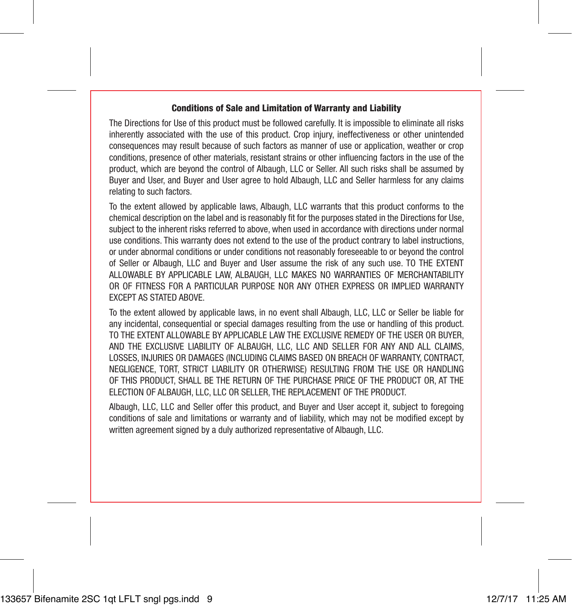#### Conditions of Sale and Limitation of Warranty and Liability

The Directions for Use of this product must be followed carefully. It is impossible to eliminate all risks inherently associated with the use of this product. Crop injury, ineffectiveness or other unintended consequences may result because of such factors as manner of use or application, weather or crop conditions, presence of other materials, resistant strains or other influencing factors in the use of the product, which are beyond the control of Albaugh, LLC or Seller. All such risks shall be assumed by Buyer and User, and Buyer and User agree to hold Albaugh, LLC and Seller harmless for any claims relating to such factors.

To the extent allowed by applicable laws, Albaugh, LLC warrants that this product conforms to the chemical description on the label and is reasonably fit for the purposes stated in the Directions for Use, subject to the inherent risks referred to above, when used in accordance with directions under normal use conditions. This warranty does not extend to the use of the product contrary to label instructions, or under abnormal conditions or under conditions not reasonably foreseeable to or beyond the control of Seller or Albaugh, LLC and Buyer and User assume the risk of any such use. TO THE EXTENT ALLOWABLE BY APPLICABLE LAW, ALBAUGH, LLC MAKES NO WARRANTIES OF MERCHANTABILITY OR OF FITNESS FOR A PARTICULAR PURPOSE NOR ANY OTHER EXPRESS OR IMPLIED WARRANTY EXCEPT AS STATED ABOVE.

To the extent allowed by applicable laws, in no event shall Albaugh, LLC, LLC or Seller be liable for any incidental, consequential or special damages resulting from the use or handling of this product. TO THE EXTENT ALLOWABLE BY APPLICABLE LAW THE EXCLUSIVE REMEDY OF THE USER OR BUYER, AND THE EXCLUSIVE LIABILITY OF ALBAUGH, LLC, LLC AND SELLER FOR ANY AND ALL CLAIMS, LOSSES, INJURIES OR DAMAGES (INCLUDING CLAIMS BASED ON BREACH OF WARRANTY, CONTRACT, NEGLIGENCE, TORT, STRICT LIABILITY OR OTHERWISE) RESULTING FROM THE USE OR HANDLING OF THIS PRODUCT, SHALL BE THE RETURN OF THE PURCHASE PRICE OF THE PRODUCT OR, AT THE ELECTION OF ALBAUGH, LLC, LLC OR SELLER, THE REPLACEMENT OF THE PRODUCT.

Albaugh, LLC, LLC and Seller offer this product, and Buyer and User accept it, subject to foregoing conditions of sale and limitations or warranty and of liability, which may not be modified except by written agreement signed by a duly authorized representative of Albaugh, LLC.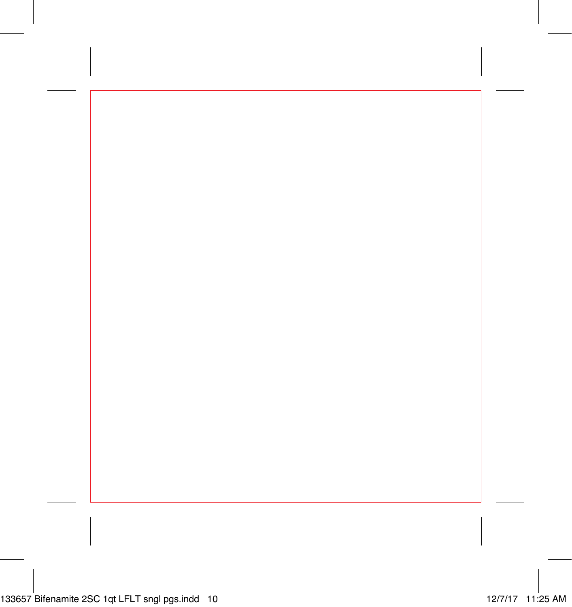133657 Bifenamite 2SC 1qt LFLT sngl pgs.indd 10 12/7/17 11:25 AM 133657 Bifenamite 2SC 1qt LFLT sngl pgs.indd 1